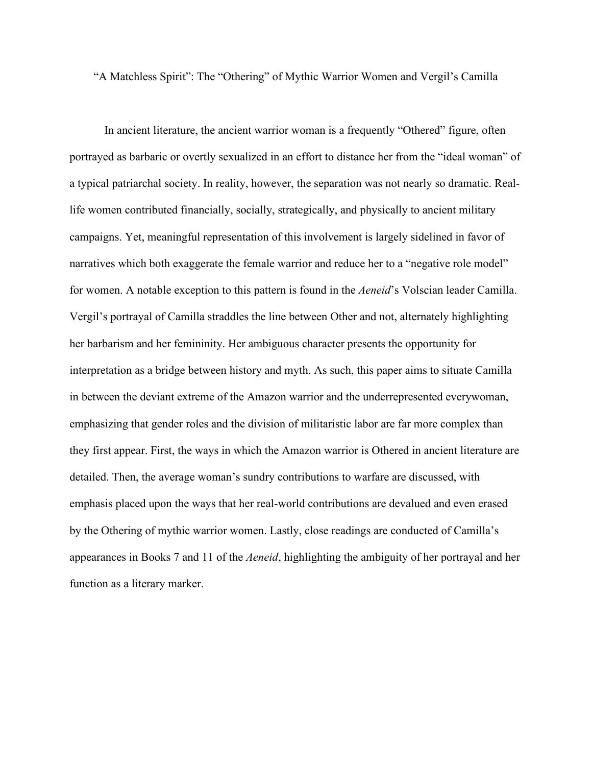"A Matchless Spirit": The "Othering" of Mythic Warrior Women and Vergil's Camilla

In ancient literature, the ancient warrior woman is a frequently "Othered" figure, often portrayed as barbaric or overtly sexualized in an effort to distance her from the "ideal woman" of a typical patriarchal society. In reality, however, the separation was not nearly so dramatic. Reallife women contributed financially, socially, strategically, and physically to ancient military campaigns. Yet, meaningful representation of this involvement is largely sidelined in favor of narratives which both exaggerate the female warrior and reduce her to a "negative role model" for women. A notable exception to this pattern is found in the *Aeneid*'s Volscian leader Camilla. Vergil's portrayal of Camilla straddles the line between Other and not, alternately highlighting her barbarism and her femininity. Her ambiguous character presents the opportunity for interpretation as a bridge between history and myth. As such, this paper aims to situate Camilla in between the deviant extreme of the Amazon warrior and the underrepresented everywoman, emphasizing that gender roles and the division of militaristic labor are far more complex than they first appear. First, the ways in which the Amazon warrior is Othered in ancient literature are detailed. Then, the average woman's sundry contributions to warfare are discussed, with emphasis placed upon the ways that her real-world contributions are devalued and even erased by the Othering of mythic warrior women. Lastly, close readings are conducted of Camilla's appearances in Books 7 and 11 of the *Aeneid*, highlighting the ambiguity of her portrayal and her function as a literary marker.